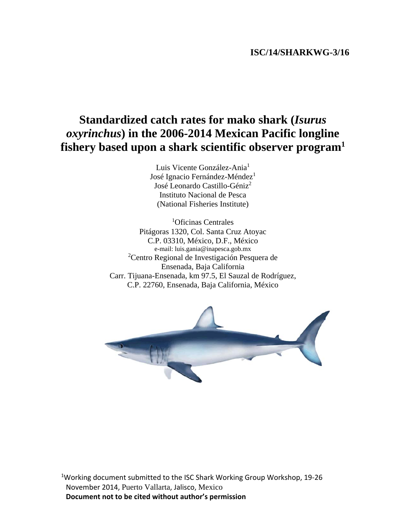# **ISC/14/SHARKWG-3/16**

# **Standardized catch rates for mako shark (***Isurus oxyrinchus***) in the 2006-2014 Mexican Pacific longline fishery based upon a shark scientific observer program1**

Luis Vicente González-Ania<sup>1</sup> José Ignacio Fernández-Méndez<sup>1</sup> José Leonardo Castillo-Géniz<sup>2</sup> Instituto Nacional de Pesca (National Fisheries Institute)

1 Oficinas Centrales Pitágoras 1320, Col. Santa Cruz Atoyac C.P. 03310, México, D.F., México e-mail: luis.gania@inapesca.gob.mx 2 Centro Regional de Investigación Pesquera de Ensenada, Baja California Carr. Tijuana-Ensenada, km 97.5, El Sauzal de Rodríguez, C.P. 22760, Ensenada, Baja California, México



1Working document submitted to the ISC Shark Working Group Workshop, 19‐26 November 2014, Puerto Vallarta, Jalisco, Mexico **Document not to be cited without author's permission**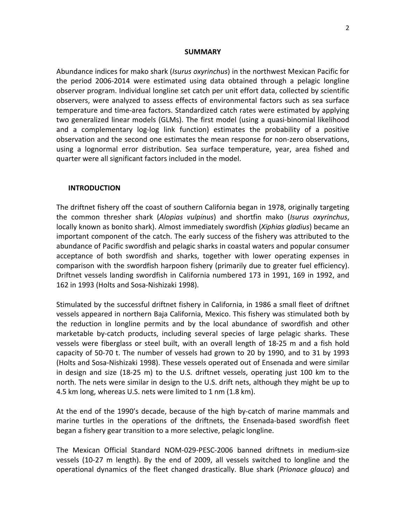#### **SUMMARY**

Abundance indices for mako shark (*Isurus oxyrinchus*) in the northwest Mexican Pacific for the period 2006‐2014 were estimated using data obtained through a pelagic longline observer program. Individual longline set catch per unit effort data, collected by scientific observers, were analyzed to assess effects of environmental factors such as sea surface temperature and time‐area factors. Standardized catch rates were estimated by applying two generalized linear models (GLMs). The first model (using a quasi‐binomial likelihood and a complementary log‐log link function) estimates the probability of a positive observation and the second one estimates the mean response for non‐zero observations, using a lognormal error distribution. Sea surface temperature, year, area fished and quarter were all significant factors included in the model.

#### **INTRODUCTION**

The driftnet fishery off the coast of southern California began in 1978, originally targeting the common thresher shark (*Alopias vulpinus*) and shortfin mako (*Isurus oxyrinchus*, locally known as bonito shark). Almost immediately swordfish (*Xiphias gladius*) became an important component of the catch. The early success of the fishery was attributed to the abundance of Pacific swordfish and pelagic sharks in coastal waters and popular consumer acceptance of both swordfish and sharks, together with lower operating expenses in comparison with the swordfish harpoon fishery (primarily due to greater fuel efficiency). Driftnet vessels landing swordfish in California numbered 173 in 1991, 169 in 1992, and 162 in 1993 (Holts and Sosa‐Nishizaki 1998).

Stimulated by the successful driftnet fishery in California, in 1986 a small fleet of driftnet vessels appeared in northern Baja California, Mexico. This fishery was stimulated both by the reduction in longline permits and by the local abundance of swordfish and other marketable by-catch products, including several species of large pelagic sharks. These vessels were fiberglass or steel built, with an overall length of 18‐25 m and a fish hold capacity of 50‐70 t. The number of vessels had grown to 20 by 1990, and to 31 by 1993 (Holts and Sosa‐Nishizaki 1998). These vessels operated out of Ensenada and were similar in design and size (18‐25 m) to the U.S. driftnet vessels, operating just 100 km to the north. The nets were similar in design to the U.S. drift nets, although they might be up to 4.5 km long, whereas U.S. nets were limited to 1 nm (1.8 km).

At the end of the 1990's decade, because of the high by‐catch of marine mammals and marine turtles in the operations of the driftnets, the Ensenada‐based swordfish fleet began a fishery gear transition to a more selective, pelagic longline.

The Mexican Official Standard NOM‐029‐PESC‐2006 banned driftnets in medium‐size vessels (10‐27 m length). By the end of 2009, all vessels switched to longline and the operational dynamics of the fleet changed drastically. Blue shark (*Prionace glauca*) and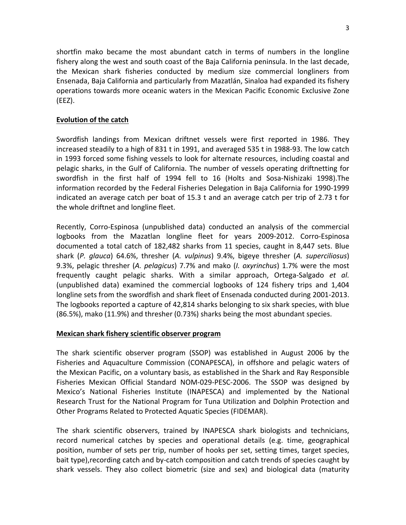shortfin mako became the most abundant catch in terms of numbers in the longline fishery along the west and south coast of the Baja California peninsula. In the last decade, the Mexican shark fisheries conducted by medium size commercial longliners from Ensenada, Baja California and particularly from Mazatlán, Sinaloa had expanded its fishery operations towards more oceanic waters in the Mexican Pacific Economic Exclusive Zone (EEZ).

## **Evolution of the catch**

Swordfish landings from Mexican driftnet vessels were first reported in 1986. They increased steadily to a high of 831 t in 1991, and averaged 535 t in 1988‐93. The low catch in 1993 forced some fishing vessels to look for alternate resources, including coastal and pelagic sharks, in the Gulf of California. The number of vessels operating driftnetting for swordfish in the first half of 1994 fell to 16 (Holts and Sosa‐Nishizaki 1998).The information recorded by the Federal Fisheries Delegation in Baja California for 1990‐1999 indicated an average catch per boat of 15.3 t and an average catch per trip of 2.73 t for the whole driftnet and longline fleet.

Recently, Corro‐Espinosa (unpublished data) conducted an analysis of the commercial logbooks from the Mazatlan longline fleet for years 2009‐2012. Corro‐Espinosa documented a total catch of 182,482 sharks from 11 species, caught in 8,447 sets. Blue shark (*P. glauca*) 64.6%, thresher (*A. vulpinus*) 9.4%, bigeye thresher (*A. superciliosus*) 9.3%, pelagic thresher (*A. pelagicus*) 7.7% and mako (*I. oxyrinchus*) 1.7% were the most frequently caught pelagic sharks. With a similar approach, Ortega‐Salgado *et al.* (unpublished data) examined the commercial logbooks of 124 fishery trips and 1,404 longline sets from the swordfish and shark fleet of Ensenada conducted during 2001‐2013. The logbooks reported a capture of 42,814 sharks belonging to six shark species, with blue (86.5%), mako (11.9%) and thresher (0.73%) sharks being the most abundant species.

## **Mexican shark fishery scientific observer program**

The shark scientific observer program (SSOP) was established in August 2006 by the Fisheries and Aquaculture Commission (CONAPESCA), in offshore and pelagic waters of the Mexican Pacific, on a voluntary basis, as established in the Shark and Ray Responsible Fisheries Mexican Official Standard NOM‐029‐PESC‐2006. The SSOP was designed by Mexico's National Fisheries Institute (INAPESCA) and implemented by the National Research Trust for the National Program for Tuna Utilization and Dolphin Protection and Other Programs Related to Protected Aquatic Species (FIDEMAR).

The shark scientific observers, trained by INAPESCA shark biologists and technicians, record numerical catches by species and operational details (e.g. time, geographical position, number of sets per trip, number of hooks per set, setting times, target species, bait type),recording catch and by‐catch composition and catch trends of species caught by shark vessels. They also collect biometric (size and sex) and biological data (maturity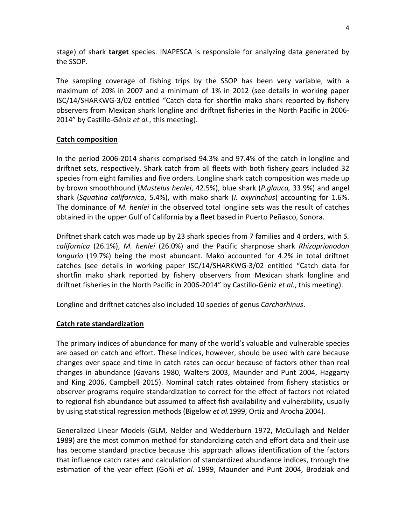stage) of shark **target** species. INAPESCA is responsible for analyzing data generated by the SSOP.

The sampling coverage of fishing trips by the SSOP has been very variable, with a maximum of 20% in 2007 and a minimum of 1% in 2012 (see details in working paper ISC/14/SHARKWG‐3/02 entitled "Catch data for shortfin mako shark reported by fishery observers from Mexican shark longline and driftnet fisheries in the North Pacific in 2006‐ 2014" by Castillo‐Géniz *et al.*, this meeting).

## **Catch composition**

In the period 2006‐2014 sharks comprised 94.3% and 97.4% of the catch in longline and driftnet sets, respectively. Shark catch from all fleets with both fishery gears included 32 species from eight families and five orders. Longline shark catch composition was made up by brown smoothhound (*Mustelus henlei*, 42.5%), blue shark (*P.glauca,* 33.9%) and angel shark (*Squatina californica*, 5.4%), with mako shark (*I. oxyrinchus*) accounting for 1.6%. The dominance of *M. henlei* in the observed total longline sets was the result of catches obtained in the upper Gulf of California by a fleet based in Puerto Peñasco, Sonora.

Driftnet shark catch was made up by 23 shark species from 7 families and 4 orders, with *S. californica* (26.1%), *M. henlei* (26.0%) and the Pacific sharpnose shark *Rhizoprionodon longurio* (19.7%) being the most abundant. Mako accounted for 4.2% in total driftnet catches (see details in working paper ISC/14/SHARKWG‐3/02 entitled "Catch data for shortfin mako shark reported by fishery observers from Mexican shark longline and driftnet fisheries in the North Pacific in 2006‐2014" by Castillo‐Géniz *et al.*, this meeting).

Longline and driftnet catches also included 10 species of genus *Carcharhinus*.

## **Catch rate standardization**

The primary indices of abundance for many of the world's valuable and vulnerable species are based on catch and effort. These indices, however, should be used with care because changes over space and time in catch rates can occur because of factors other than real changes in abundance (Gavaris 1980, Walters 2003, Maunder and Punt 2004, Haggarty and King 2006, Campbell 2015). Nominal catch rates obtained from fishery statistics or observer programs require standardization to correct for the effect of factors not related to regional fish abundance but assumed to affect fish availability and vulnerability, usually by using statistical regression methods (Bigelow *et al.*1999, Ortiz and Arocha 2004).

Generalized Linear Models (GLM, Nelder and Wedderburn 1972, McCullagh and Nelder 1989) are the most common method for standardizing catch and effort data and their use has become standard practice because this approach allows identification of the factors that influence catch rates and calculation of standardized abundance indices, through the estimation of the year effect (Goñi *et al.* 1999, Maunder and Punt 2004, Brodziak and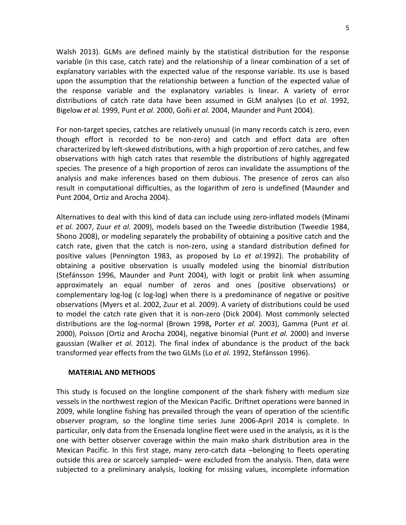Walsh 2013). GLMs are defined mainly by the statistical distribution for the response variable (in this case, catch rate) and the relationship of a linear combination of a set of explanatory variables with the expected value of the response variable. Its use is based upon the assumption that the relationship between a function of the expected value of the response variable and the explanatory variables is linear. A variety of error distributions of catch rate data have been assumed in GLM analyses (Lo *et al.* 1992, Bigelow *et al.* 1999, Punt *et al.* 2000, Goñi *et al.* 2004, Maunder and Punt 2004).

For non‐target species, catches are relatively unusual (in many records catch is zero, even though effort is recorded to be non‐zero) and catch and effort data are often characterized by left‐skewed distributions, with a high proportion of zero catches, and few observations with high catch rates that resemble the distributions of highly aggregated species. The presence of a high proportion of zeros can invalidate the assumptions of the analysis and make inferences based on them dubious. The presence of zeros can also result in computational difficulties, as the logarithm of zero is undefined (Maunder and Punt 2004, Ortiz and Arocha 2004).

Alternatives to deal with this kind of data can include using zero‐inflated models (Minami *et al.* 2007, Zuur *et al.* 2009), models based on the Tweedie distribution (Tweedie 1984, Shono 2008), or modeling separately the probability of obtaining a positive catch and the catch rate, given that the catch is non‐zero, using a standard distribution defined for positive values (Pennington 1983, as proposed by Lo *et al.*1992). The probability of obtaining a positive observation is usually modeled using the binomial distribution (Stefánsson 1996, Maunder and Punt 2004), with logit or probit link when assuming approximately an equal number of zeros and ones (positive observations) or complementary log‐log (c log‐log) when there is a predominance of negative or positive observations (Myers et al. 2002, Zuur et al. 2009). A variety of distributions could be used to model the catch rate given that it is non‐zero (Dick 2004). Most commonly selected distributions are the log‐normal (Brown 1998**,** Porter *et al.* 2003), Gamma (Punt *et al.* 2000), Poisson (Ortiz and Arocha 2004), negative binomial (Punt *et al.* 2000) and inverse gaussian (Walker *et al.* 2012). The final index of abundance is the product of the back transformed year effects from the two GLMs (Lo *et al.* 1992, Stefánsson 1996).

## **MATERIAL AND METHODS**

This study is focused on the longline component of the shark fishery with medium size vessels in the northwest region of the Mexican Pacific. Driftnet operations were banned in 2009, while longline fishing has prevailed through the years of operation of the scientific observer program, so the longline time series June 2006‐April 2014 is complete. In particular, only data from the Ensenada longline fleet were used in the analysis, as it is the one with better observer coverage within the main mako shark distribution area in the Mexican Pacific. In this first stage, many zero-catch data –belonging to fleets operating outside this area or scarcely sampled– were excluded from the analysis. Then, data were subjected to a preliminary analysis, looking for missing values, incomplete information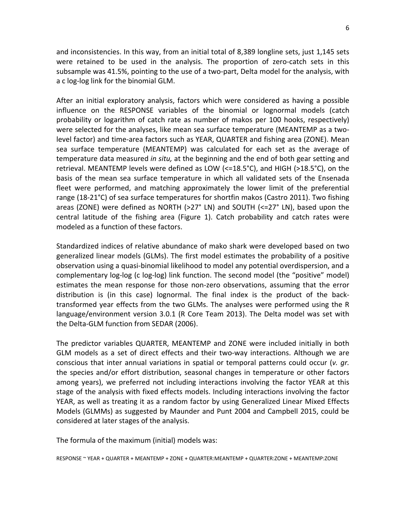and inconsistencies. In this way, from an initial total of 8,389 longline sets, just 1,145 sets were retained to be used in the analysis. The proportion of zero-catch sets in this subsample was 41.5%, pointing to the use of a two-part, Delta model for the analysis, with a c log‐log link for the binomial GLM.

After an initial exploratory analysis, factors which were considered as having a possible influence on the RESPONSE variables of the binomial or lognormal models (catch probability or logarithm of catch rate as number of makos per 100 hooks, respectively) were selected for the analyses, like mean sea surface temperature (MEANTEMP as a twolevel factor) and time‐area factors such as YEAR, QUARTER and fishing area (ZONE). Mean sea surface temperature (MEANTEMP) was calculated for each set as the average of temperature data measured *in situ,* at the beginning and the end of both gear setting and retrieval. MEANTEMP levels were defined as LOW (<=18.5°C), and HIGH (>18.5°C), on the basis of the mean sea surface temperature in which all validated sets of the Ensenada fleet were performed, and matching approximately the lower limit of the preferential range (18‐21°C) of sea surface temperatures for shortfin makos (Castro 2011). Two fishing areas (ZONE) were defined as NORTH (>27° LN) and SOUTH (<=27° LN), based upon the central latitude of the fishing area (Figure 1). Catch probability and catch rates were modeled as a function of these factors.

Standardized indices of relative abundance of mako shark were developed based on two generalized linear models (GLMs). The first model estimates the probability of a positive observation using a quasi‐binomial likelihood to model any potential overdispersion, and a complementary log‐log (c log‐log) link function. The second model (the "positive" model) estimates the mean response for those non‐zero observations, assuming that the error distribution is (in this case) lognormal. The final index is the product of the back‐ transformed year effects from the two GLMs. The analyses were performed using the R language/environment version 3.0.1 (R Core Team 2013). The Delta model was set with the Delta‐GLM function from SEDAR (2006).

The predictor variables QUARTER, MEANTEMP and ZONE were included initially in both GLM models as a set of direct effects and their two‐way interactions. Although we are conscious that inter annual variations in spatial or temporal patterns could occur (*v. gr.* the species and/or effort distribution, seasonal changes in temperature or other factors among years), we preferred not including interactions involving the factor YEAR at this stage of the analysis with fixed effects models. Including interactions involving the factor YEAR, as well as treating it as a random factor by using Generalized Linear Mixed Effects Models (GLMMs) as suggested by Maunder and Punt 2004 and Campbell 2015, could be considered at later stages of the analysis.

The formula of the maximum (initial) models was:

RESPONSE ~ YEAR + QUARTER + MEANTEMP + ZONE + QUARTER:MEANTEMP + QUARTER:ZONE + MEANTEMP:ZONE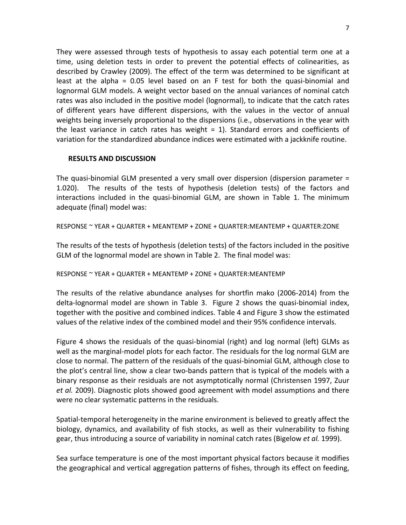They were assessed through tests of hypothesis to assay each potential term one at a time, using deletion tests in order to prevent the potential effects of colinearities, as described by Crawley (2009). The effect of the term was determined to be significant at least at the alpha =  $0.05$  level based on an F test for both the quasi-binomial and lognormal GLM models. A weight vector based on the annual variances of nominal catch rates was also included in the positive model (lognormal), to indicate that the catch rates of different years have different dispersions, with the values in the vector of annual weights being inversely proportional to the dispersions (i.e., observations in the year with the least variance in catch rates has weight  $= 1$ ). Standard errors and coefficients of variation for the standardized abundance indices were estimated with a jackknife routine.

## **RESULTS AND DISCUSSION**

The quasi-binomial GLM presented a very small over dispersion (dispersion parameter  $=$ 1.020). The results of the tests of hypothesis (deletion tests) of the factors and interactions included in the quasi‐binomial GLM, are shown in Table 1. The minimum adequate (final) model was:

RESPONSE ~ YEAR + QUARTER + MEANTEMP + ZONE + QUARTER:MEANTEMP + QUARTER:ZONE

The results of the tests of hypothesis (deletion tests) of the factors included in the positive GLM of the lognormal model are shown in Table 2. The final model was:

RESPONSE ~ YEAR + QUARTER + MEANTEMP + ZONE + QUARTER:MEANTEMP

The results of the relative abundance analyses for shortfin mako (2006‐2014) from the delta‐lognormal model are shown in Table 3. Figure 2 shows the quasi‐binomial index, together with the positive and combined indices. Table 4 and Figure 3 show the estimated values of the relative index of the combined model and their 95% confidence intervals.

Figure 4 shows the residuals of the quasi-binomial (right) and log normal (left) GLMs as well as the marginal‐model plots for each factor. The residuals for the log normal GLM are close to normal. The pattern of the residuals of the quasi‐binomial GLM, although close to the plot's central line, show a clear two-bands pattern that is typical of the models with a binary response as their residuals are not asymptotically normal (Christensen 1997, Zuur *et al.* 2009). Diagnostic plots showed good agreement with model assumptions and there were no clear systematic patterns in the residuals.

Spatial‐temporal heterogeneity in the marine environment is believed to greatly affect the biology, dynamics, and availability of fish stocks, as well as their vulnerability to fishing gear, thus introducing a source of variability in nominal catch rates (Bigelow *et al.* 1999).

Sea surface temperature is one of the most important physical factors because it modifies the geographical and vertical aggregation patterns of fishes, through its effect on feeding,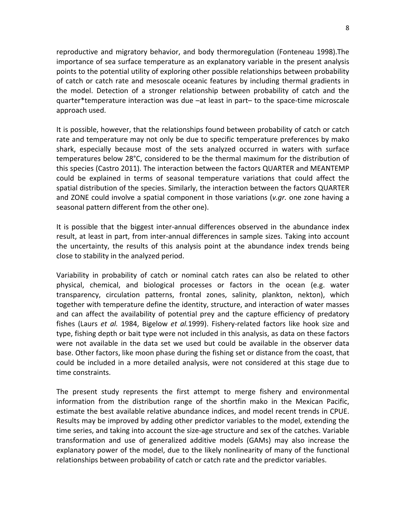reproductive and migratory behavior, and body thermoregulation (Fonteneau 1998).The importance of sea surface temperature as an explanatory variable in the present analysis points to the potential utility of exploring other possible relationships between probability of catch or catch rate and mesoscale oceanic features by including thermal gradients in the model. Detection of a stronger relationship between probability of catch and the quarter\*temperature interaction was due –at least in part– to the space‐time microscale approach used.

It is possible, however, that the relationships found between probability of catch or catch rate and temperature may not only be due to specific temperature preferences by mako shark, especially because most of the sets analyzed occurred in waters with surface temperatures below 28°C, considered to be the thermal maximum for the distribution of this species (Castro 2011). The interaction between the factors QUARTER and MEANTEMP could be explained in terms of seasonal temperature variations that could affect the spatial distribution of the species. Similarly, the interaction between the factors QUARTER and ZONE could involve a spatial component in those variations (*v.gr.* one zone having a seasonal pattern different from the other one).

It is possible that the biggest inter-annual differences observed in the abundance index result, at least in part, from inter-annual differences in sample sizes. Taking into account the uncertainty, the results of this analysis point at the abundance index trends being close to stability in the analyzed period.

Variability in probability of catch or nominal catch rates can also be related to other physical, chemical, and biological processes or factors in the ocean (e.g. water transparency, circulation patterns, frontal zones, salinity, plankton, nekton), which together with temperature define the identity, structure, and interaction of water masses and can affect the availability of potential prey and the capture efficiency of predatory fishes (Laurs *et al.* 1984, Bigelow *et al.*1999). Fishery‐related factors like hook size and type, fishing depth or bait type were not included in this analysis, as data on these factors were not available in the data set we used but could be available in the observer data base. Other factors, like moon phase during the fishing set or distance from the coast, that could be included in a more detailed analysis, were not considered at this stage due to time constraints.

The present study represents the first attempt to merge fishery and environmental information from the distribution range of the shortfin mako in the Mexican Pacific, estimate the best available relative abundance indices, and model recent trends in CPUE. Results may be improved by adding other predictor variables to the model, extending the time series, and taking into account the size‐age structure and sex of the catches. Variable transformation and use of generalized additive models (GAMs) may also increase the explanatory power of the model, due to the likely nonlinearity of many of the functional relationships between probability of catch or catch rate and the predictor variables.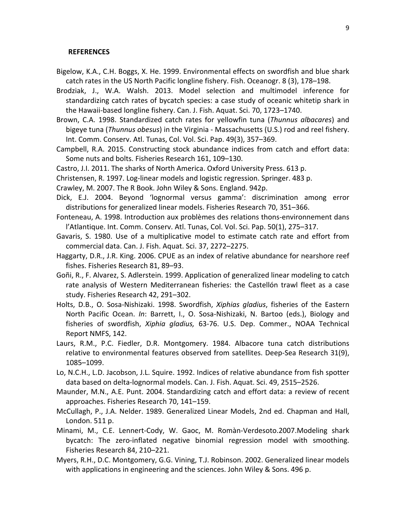#### **REFERENCES**

- Bigelow, K.A., C.H. Boggs, X. He. 1999. Environmental effects on swordfish and blue shark catch rates in the US North Pacific longline fishery. Fish. Oceanogr. 8 (3), 178–198.
- Brodziak, J., W.A. Walsh. 2013. Model selection and multimodel inference for standardizing catch rates of bycatch species: a case study of oceanic whitetip shark in the Hawaii‐based longline fishery. Can. J. Fish. Aquat. Sci. 70, 1723–1740.
- Brown, C.A. 1998. Standardized catch rates for yellowfin tuna (*Thunnus albacares*) and bigeye tuna (*Thunnus obesus*) in the Virginia ‐ Massachusetts (U.S.) rod and reel fishery. Int. Comm. Conserv. Atl. Tunas, Col. Vol. Sci. Pap. 49(3), 357–369.
- Campbell, R.A. 2015. Constructing stock abundance indices from catch and effort data: Some nuts and bolts. Fisheries Research 161, 109–130.
- Castro, J.I. 2011. The sharks of North America. Oxford University Press. 613 p.
- Christensen, R. 1997. Log‐linear models and logistic regression. Springer. 483 p.

Crawley, M. 2007. The R Book. John Wiley & Sons. England. 942p.

- Dick, E.J. 2004. Beyond 'lognormal versus gamma': discrimination among error distributions for generalized linear models. Fisheries Research 70, 351–366.
- Fonteneau, A. 1998. Introduction aux problèmes des relations thons‐environnement dans l'Atlantique. Int. Comm. Conserv. Atl. Tunas, Col. Vol. Sci. Pap. 50(1), 275–317.
- Gavaris, S. 1980. Use of a multiplicative model to estimate catch rate and effort from commercial data. Can. J. Fish. Aquat. Sci. 37, 2272–2275.
- Haggarty, D.R., J.R. King. 2006. CPUE as an index of relative abundance for nearshore reef fishes. Fisheries Research 81, 89–93.
- Goñi, R., F. Alvarez, S. Adlerstein. 1999. Application of generalized linear modeling to catch rate analysis of Western Mediterranean fisheries: the Castellón trawl fleet as a case study. Fisheries Research 42, 291–302.
- Holts, D.B., O. Sosa‐Nishizaki. 1998. Swordfish, *Xiphias gladius*, fisheries of the Eastern North Pacific Ocean. *In*: Barrett, I., O. Sosa‐Nishizaki, N. Bartoo (eds.), Biology and fisheries of swordfish, *Xiphia gladius,* 63‐76. U.S. Dep. Commer., NOAA Technical Report NMFS, 142.
- Laurs, R.M., P.C. Fiedler, D.R. Montgomery. 1984. Albacore tuna catch distributions relative to environmental features observed from satellites. Deep‐Sea Research 31(9), 1085–1099.
- Lo, N.C.H., L.D. Jacobson, J.L. Squire. 1992. Indices of relative abundance from fish spotter data based on delta‐lognormal models. Can. J. Fish. Aquat. Sci. 49, 2515–2526.
- Maunder, M.N., A.E. Punt. 2004. Standardizing catch and effort data: a review of recent approaches. Fisheries Research 70, 141–159.
- McCullagh, P., J.A. Nelder. 1989. Generalized Linear Models, 2nd ed. Chapman and Hall, London. 511 p.
- Minami, M., C.E. Lennert‐Cody, W. Gaoc, M. Romàn‐Verdesoto.2007.Modeling shark bycatch: The zero‐inflated negative binomial regression model with smoothing. Fisheries Research 84, 210–221.
- Myers, R.H., D.C. Montgomery, G.G. Vining, T.J. Robinson. 2002. Generalized linear models with applications in engineering and the sciences. John Wiley & Sons. 496 p.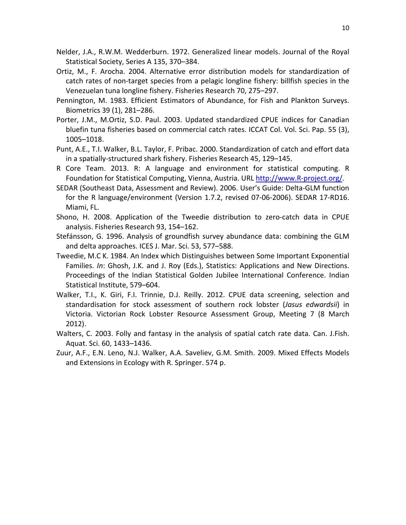- Nelder, J.A., R.W.M. Wedderburn. 1972. Generalized linear models. Journal of the Royal Statistical Society, Series A 135, 370–384.
- Ortiz, M., F. Arocha. 2004. Alternative error distribution models for standardization of catch rates of non‐target species from a pelagic longline fishery: billfish species in the Venezuelan tuna longline fishery. Fisheries Research 70, 275–297.
- Pennington, M. 1983. Efficient Estimators of Abundance, for Fish and Plankton Surveys. Biometrics 39 (1), 281–286.
- Porter, J.M., M.Ortiz, S.D. Paul. 2003. Updated standardized CPUE indices for Canadian bluefin tuna fisheries based on commercial catch rates. ICCAT Col. Vol. Sci. Pap. 55 (3), 1005–1018.
- Punt, A.E., T.I. Walker, B.L. Taylor, F. Pribac. 2000. Standardization of catch and effort data in a spatially‐structured shark fishery. Fisheries Research 45, 129–145.
- R Core Team. 2013. R: A language and environment for statistical computing. R Foundation for Statistical Computing, Vienna, Austria. URL http://www.R-project.org/.
- SEDAR (Southeast Data, Assessment and Review). 2006. User's Guide: Delta‐GLM function for the R language/environment (Version 1.7.2, revised 07‐06‐2006). SEDAR 17‐RD16. Miami, FL.
- Shono, H. 2008. Application of the Tweedie distribution to zero‐catch data in CPUE analysis. Fisheries Research 93, 154–162.
- Stefánsson, G. 1996. Analysis of groundfish survey abundance data: combining the GLM and delta approaches. ICES J. Mar. Sci. 53, 577–588.
- Tweedie, M.C K. 1984. An Index which Distinguishes between Some Important Exponential Families. *In*: Ghosh, J.K. and J. Roy (Eds.), Statistics: Applications and New Directions. Proceedings of the Indian Statistical Golden Jubilee International Conference. Indian Statistical Institute, 579–604.
- Walker, T.I., K. Giri, F.I. Trinnie, D.J. Reilly. 2012. CPUE data screening, selection and standardisation for stock assessment of southern rock lobster (*Jasus edwardsii*) in Victoria. Victorian Rock Lobster Resource Assessment Group, Meeting 7 (8 March 2012).
- Walters, C. 2003. Folly and fantasy in the analysis of spatial catch rate data. Can. J.Fish. Aquat. Sci. 60, 1433–1436.
- Zuur, A.F., E.N. Leno, N.J. Walker, A.A. Saveliev, G.M. Smith. 2009. Mixed Effects Models and Extensions in Ecology with R. Springer. 574 p.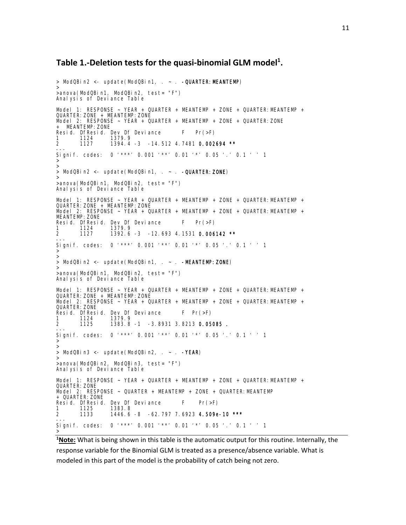# **Table 1.‐Deletion tests for the quasi‐binomial GLM model1 .**

```
> ModQBin2 <- update(ModQBin1, \sim . -QUARTER: MEANTEMP)
>anova(ModQBin1, ModQBin2, test= "F") 
Analysis of Deviance Table 
Model 1: RESPONSE ~ YEAR + QUARTER + MEANTEMP + ZONE + QUARTER: MEANTEMP +
QUARTER: ZONE + MEANTEMP: ZONE
Model 2: RESPONSE ~ YEAR + QUARTER + MEANTEMP + ZONE + QUARTER: ZONE
   MEANTEMP: ZONE
Resid. DfResid. Dev Df Deviance F Pr(>F)<br>1 1124 1379.9
1 1124 1379.9<br>2 1127 1394.4
                    1394.4 -3 -14.512 4.7481 0.002694 **
--- 
Signif. codes: 0 '***' 0.001 '**' 0.01 '*' 0.05 '.' 0.1 ' ' 1 
>>> ModQBin2 <- update(ModQBin1, . ~ . -QUARTER:ZONE) 
>>anova(ModQBin1, ModQBin2, test= "F") 
Analysis of Deviance Table 
Model 1: RESPONSE ~ YEAR + QUARTER + MEANTEMP + ZONE + QUARTER: MEANTEMP +
QUARTER: ZONE + MEANTEMP: ZONE
Model 2: RESPONSE ~ YEAR + QUARTER + MEANTEMP + ZONE + QUARTER:MEANTEMP + 
MEANTEMP: ZONE
Resid. DfResid. Dev Df Deviance F = Pr(>=F)<br>1 1124 1379 9
\begin{array}{@{}c@{\hspace{1em}}c@{\hspace{1em}}c@{\hspace{1em}}c@{\hspace{1em}}c@{\hspace{1em}}c@{\hspace{1em}}c@{\hspace{1em}}c@{\hspace{1em}}c@{\hspace{1em}}c@{\hspace{1em}}c@{\hspace{1em}}c@{\hspace{1em}}c@{\hspace{1em}}c@{\hspace{1em}}c@{\hspace{1em}}c@{\hspace{1em}}c@{\hspace{1em}}c@{\hspace{1em}}c@{\hspace{1em}}c@{\hspace{1em}}c@{\hspace{1em}}c@{\hspace{1em}}c@{\hspace{1em}}c@{\hspace{1392.6 -3 -12.693 4.1531 0.006142 **
Signif. codes: 0 '***' 0.001 '**' 0.01 '*' 0.05 '.' 0.1 ' ' 1 
>>> ModQBin2 <- update(ModQBin1, . ~ . -MEANTEMP:ZONE)
>>anova(ModQBin1, ModQBin2, test= "F") 
Analysis of Deviance Table 
Model 1: RESPONSE ~ YEAR + QUARTER + MEANTEMP + ZONE + QUARTER: MEANTEMP +
QUARTER: ZONE + MEANTEMP: ZONE
Model 2: RESPONSE ~ YEAR + QUARTER + MEANTEMP + ZONE + QUARTER: MEANTEMP +
QUARTER: ZONE
Resid. DfResid. Dev Df Deviance F Pr(>F)<br>1 1124 1379.9
1 1124 1379.9<br>2 1125 1383.8
                    1383.8 -1 -3.8931 3.8213 0.05085.
--- 
Signif. codes: 0 '***' 0.001 '**' 0.01 '*' 0.05 '.' 0.1 ' ' 1 
>>> ModQBin3 <- update(ModQBin2, . ~ . -YEAR)<br>>
>anova(ModQBin2, ModQBin3, test= "F") 
Analysis of Deviance Table 
Model 1: RESPONSE ~ YEAR + QUARTER + MEANTEMP + ZONE + QUARTER: MEANTEMP +
QUARTER: ZONE
Model 2: RESPONSE ~ QUARTER + MEANTEMP + ZONE + QUARTER: MEANTEMP
+ QUARTER: ZONE
Resid. DfResid. Dev Df Deviance F = Pr(\ge F)1 1125 1383.8 
                    1446.6 -8 -62.797 7.6923 4.509e-10 ***
Signif. codes: 0 '***' 0.001 '**' 0.01 '*' 0.05 '.' 0.1 ' ' 1 
>
```
**1 Note:** What is being shown in this table is the automatic output for this routine. Internally, the response variable for the Binomial GLM is treated as a presence/absence variable. What is modeled in this part of the model is the probability of catch being not zero.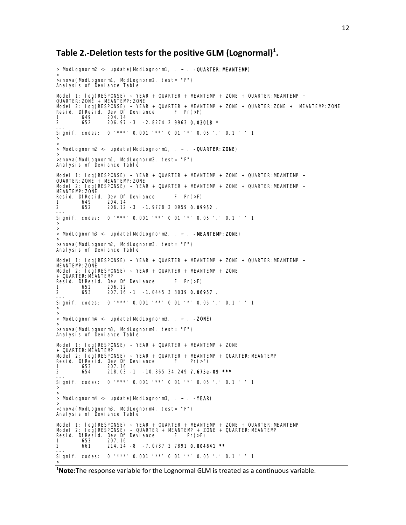# **Table 2.‐Deletion tests for the positive GLM (Lognormal)1 .**

```
> ModLognorm2 <- update(ModLognorm1, . ~ . - QUARTER: MEANTEMP)
> 
>anova(ModLognorm1, ModLognorm2, test= "F") 
Anal ysis of Deviance Table
Model 1: log(RESPONSE) ~ YEAR + QUARTER + MEANTEMP + ZONE + QUARTER: MEANTEMP +
QUARTER:ZONE + MEANTEMP:ZONE 
Model 2: log(RESPONSE) ~ YEAR + QUARTER + MEANTEMP + ZONE + QUARTER:ZONE + MEANTEMP:ZONE 
Resid. DfResid. Dev Df Deviance F Pr(>F)<br>1 649 204.14
        649 204.14<br>652 206.97
                 2 652 206.97 -3 -2.8274 2.9963 0.03018 *
--- 
Signif. codes: 0 '***' 0.001 '**' 0.01 '*' 0.05 '.' 0.1 ' ' 1 
>> 
> ModLognorm2 <- update(ModLognorm1, . ~ . - QUARTER: ZONE)
> 
>anova(ModLognorm1, ModLognorm2, test= "F") 
Analysis of Deviance Table 
Model 1: log(RESPONSE) ~ YEAR + QUARTER + MEANTEMP + ZONE + QUARTER:MEANTEMP + 
QUARTER:ZONE + MEANTEMP:ZONE 
Model 2: log(RESPONSE) ~ YEAR + QUARTER + MEANTEMP + ZONE + QUARTER:MEANTEMP + 
MEANTEMP:ZONE 
Resid. DfResid. Dev Df Deviance F Pr(>F) 
1 649 204.14 
2 652 206.12 -3 -1.9778 2.0959 0.09952 .
--- 
Signif. codes: 0 '***' 0.001 '**' 0.01 '*' 0.05 '.' 0.1 ' ' 1 
>>> ModLognorm3 <- update(ModLognorm2, . ~ . -MEANTEMP: ZONE)
>anova(ModLognorm2, ModLognorm3, test= "F") 
Analysis of Deviance Table 
Model 1: log(RESPONSE) ~ YEAR + QUARTER + MEANTEMP + ZONE + QUARTER:MEANTEMP + 
MEANTEMP: ZOÑE
Model 2: log(RESPONSE) ~ YEAR + QUARTER + MEANTEMP + ZONE 
+ QUARTER:MEANTEMP 
Resid. DfResid. Dev Df Deviance F Pr(>F)<br>1 652 206.12
1 652 206.12<br>2 653 207.16
                 2 653 207.16 -1 -1.0445 3.3039 0.06957 .
--- 
Signif. codes: 0 '***' 0.001 '**' 0.01 '*' 0.05 '.' 0.1 ' ' 1 
>><br>> ModLognorm4 <- update(ModLognorm3, . ~ . -ZONE)
>>anova(ModLognorm3, ModLognorm4, test= "F") 
Analysis of Deviance Table 
Model 1: log(RESPONSE) ~ YEAR + QUARTER + MEANTEMP + ZONE 
+ QUARTER:MEANTEMP 
Model 2: log(RESPONSE) ~ YEAR + QUARTER + MEANTEMP + QUARTER:MEANTEMP 
Resid. DfResid. Dev Df Deviance F Pr(>F) 
1 653 207.16 
2 654 218.03 -1 -10.865 34.249 7.675e-09 ***
--- 
Signif. codes: 0 '***' 0.001 '**' 0.01 '*' 0.05 '.' 0.1 ' ' 1 
>>> ModLognorm4 <- update(ModLognorm3, \sim \sim -YEAR)
>anova(ModLognorm3, ModLognorm4, test= "F")
Anal ysis of Deviance Table
Model 1: log(RESPONSE) ~ YEAR + QUARTER + MEANTEMP + ZONE + QUARTER:MEANTEMP 
Model 2: log(RESPONSE) ~ QUARTER + MEANTEMP + ZONE + QUARTER:MEANTEMP 
Resid. DfResid. Dev Df Deviance F Pr(>F) 
1 653 207.16 
2 661 214.24 -8 -7.0787 2.7891 0.004841 **
Signif. codes: 0 '***' 0.001 '**' 0.01 '*' 0.05 '.' 0.1 ' ' 1 
>
```
**1 Note:**The response variable for the Lognormal GLM is treated as a continuous variable.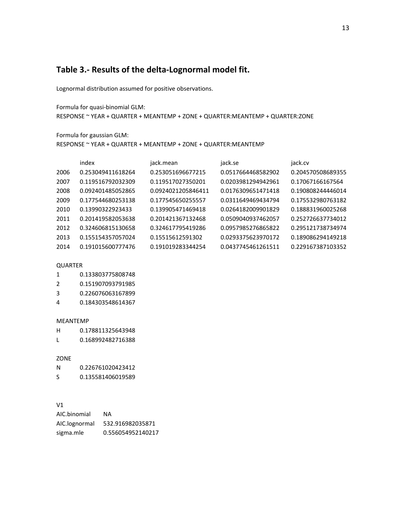## **Table 3.‐ Results of the delta‐Lognormal model fit.**

Lognormal distribution assumed for positive observations.

Formula for quasi‐binomial GLM: RESPONSE ~ YEAR + QUARTER + MEANTEMP + ZONE + QUARTER:MEANTEMP + QUARTER:ZONE

Formula for gaussian GLM:

RESPONSE ~ YEAR + QUARTER + MEANTEMP + ZONE + QUARTER:MEANTEMP

|      | index             | jack.mean          | jack.se            | jack.cv           |
|------|-------------------|--------------------|--------------------|-------------------|
| 2006 | 0.253049411618264 | 0.253051696677215  | 0.0517664468582902 | 0.204570508689355 |
| 2007 | 0.119516792032309 | 0.119517027350201  | 0.0203981294942961 | 0.17067166167564  |
| 2008 | 0.092401485052865 | 0.0924021205846411 | 0.0176309651471418 | 0.190808244446014 |
| 2009 | 0.177544680253138 | 0.177545650255557  | 0.0311649469434794 | 0.175532980763182 |
| 2010 | 0.13990322923433  | 0.139905471469418  | 0.0264182009901829 | 0.188831960025268 |
| 2011 | 0.201419582053638 | 0.201421367132468  | 0.0509040937462057 | 0.252726637734012 |
| 2012 | 0.324606815130658 | 0.324617795419286  | 0.0957985276865822 | 0.295121738734974 |
| 2013 | 0.155154357057024 | 0.15515612591302   | 0.0293375623970172 | 0.189086294149218 |
| 2014 | 0.191015600777476 | 0.191019283344254  | 0.0437745461261511 | 0.229167387103352 |
|      |                   |                    |                    |                   |

#### QUARTER

| 1 | 0.133803775808748 |  |
|---|-------------------|--|
|   |                   |  |

- 2 0.151907093791985
- 3 0.226076063167899
- 4 0.184303548614367

#### MEANTEMP

| н | 0.178811325643948 |
|---|-------------------|
|   |                   |
|   |                   |

L 0.168992482716388

#### ZONE

N 0.226761020423412 S 0.135581406019589

### V1

| AIC.binomial  | ΝA                |
|---------------|-------------------|
| AIC.lognormal | 532.916982035871  |
| sigma.mle     | 0.556054952140217 |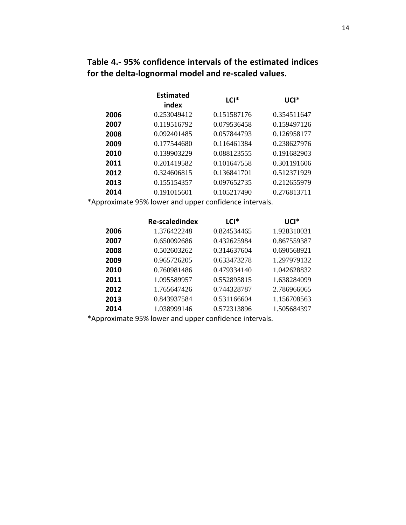**Table 4.‐ 95% confidence intervals of the estimated indices for the delta‐lognormal model and re‐scaled values.**

|      | <b>Estimated</b><br>index | LCI <sup>*</sup> | UCI <sup>*</sup> |
|------|---------------------------|------------------|------------------|
| 2006 | 0.253049412               | 0.151587176      | 0.354511647      |
| 2007 | 0.119516792               | 0.079536458      | 0.159497126      |
| 2008 | 0.092401485               | 0.057844793      | 0.126958177      |
| 2009 | 0.177544680               | 0.116461384      | 0.238627976      |
| 2010 | 0.139903229               | 0.088123555      | 0.191682903      |
| 2011 | 0.201419582               | 0.101647558      | 0.301191606      |
| 2012 | 0.324606815               | 0.136841701      | 0.512371929      |
| 2013 | 0.155154357               | 0.097652735      | 0.212655979      |
| 2014 | 0.191015601               | 0.105217490      | 0.276813711      |

\*Approximate 95% lower and upper confidence intervals.

|      | <b>Re-scaledindex</b> | $LCI^*$     | UCI*        |
|------|-----------------------|-------------|-------------|
| 2006 | 1.376422248           | 0.824534465 | 1.928310031 |
| 2007 | 0.650092686           | 0.432625984 | 0.867559387 |
| 2008 | 0.502603262           | 0.314637604 | 0.690568921 |
| 2009 | 0.965726205           | 0.633473278 | 1.297979132 |
| 2010 | 0.760981486           | 0.479334140 | 1.042628832 |
| 2011 | 1.095589957           | 0.552895815 | 1.638284099 |
| 2012 | 1.765647426           | 0.744328787 | 2.786966065 |
| 2013 | 0.843937584           | 0.531166604 | 1.156708563 |
| 2014 | 1.038999146           | 0.572313896 | 1.505684397 |

\*Approximate 95% lower and upper confidence intervals.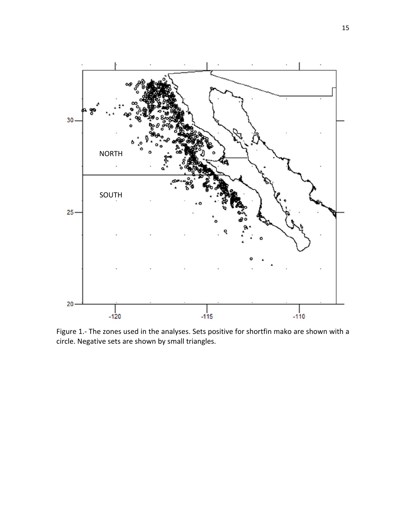

Figure 1.- The zones used in the analyses. Sets positive for shortfin mako are shown with a circle. Negative sets are shown by small triangles.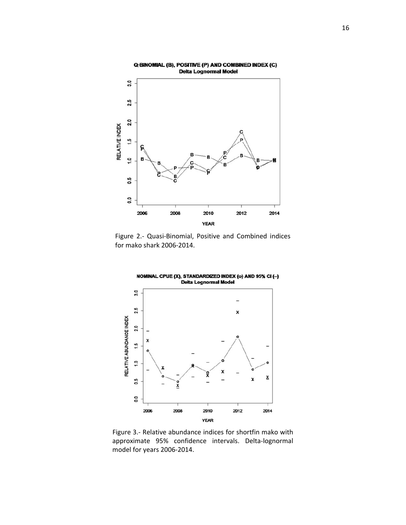

Figure 2.‐ Quasi‐Binomial, Positive and Combined indices for mako shark 2006‐2014.



Figure 3.‐ Relative abundance indices for shortfin mako with approximate 95% confidence intervals. Delta‐lognormal model for years 2006‐2014.